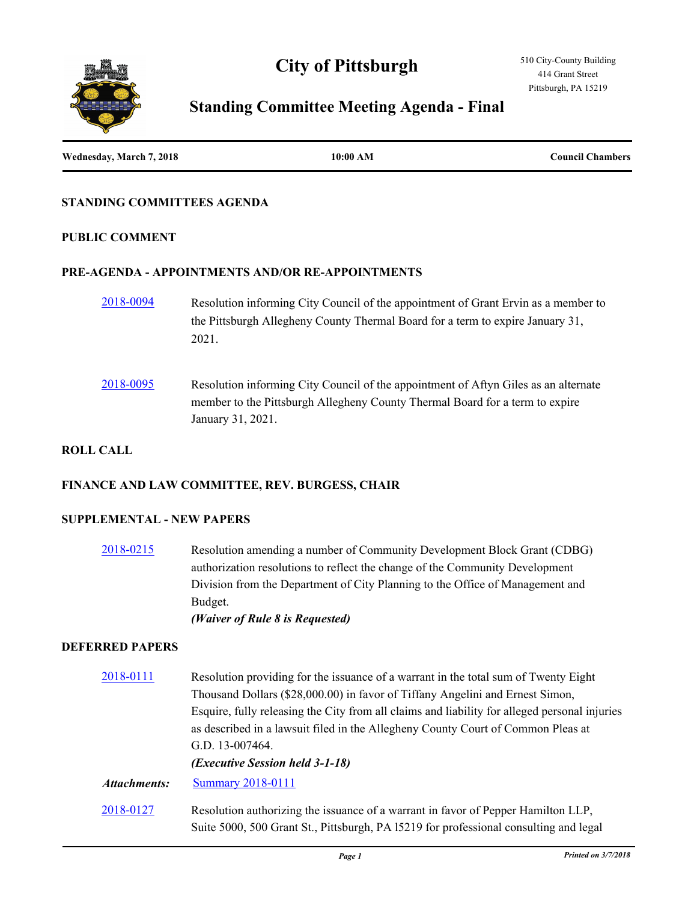# **City of Pittsburgh**



## **Standing Committee Meeting Agenda - Final**

| Wednesday, March 7, 2018 | 10:00 AM | <b>Council Chambers</b> |
|--------------------------|----------|-------------------------|
|                          |          |                         |

#### **STANDING COMMITTEES AGENDA**

#### **PUBLIC COMMENT**

#### **PRE-AGENDA - APPOINTMENTS AND/OR RE-APPOINTMENTS**

- [2018-0094](http://pittsburgh.legistar.com/gateway.aspx?m=l&id=/matter.aspx?key=22393) Resolution informing City Council of the appointment of Grant Ervin as a member to the Pittsburgh Allegheny County Thermal Board for a term to expire January 31, 2021.
- [2018-0095](http://pittsburgh.legistar.com/gateway.aspx?m=l&id=/matter.aspx?key=22394) Resolution informing City Council of the appointment of Aftyn Giles as an alternate member to the Pittsburgh Allegheny County Thermal Board for a term to expire January 31, 2021.

## **ROLL CALL**

#### **FINANCE AND LAW COMMITTEE, REV. BURGESS, CHAIR**

#### **SUPPLEMENTAL - NEW PAPERS**

[2018-0215](http://pittsburgh.legistar.com/gateway.aspx?m=l&id=/matter.aspx?key=22514) Resolution amending a number of Community Development Block Grant (CDBG) authorization resolutions to reflect the change of the Community Development Division from the Department of City Planning to the Office of Management and Budget. *(Waiver of Rule 8 is Requested)*

#### **DEFERRED PAPERS**

[2018-0111](http://pittsburgh.legistar.com/gateway.aspx?m=l&id=/matter.aspx?key=22410) Resolution providing for the issuance of a warrant in the total sum of Twenty Eight Thousand Dollars (\$28,000.00) in favor of Tiffany Angelini and Ernest Simon, Esquire, fully releasing the City from all claims and liability for alleged personal injuries as described in a lawsuit filed in the Allegheny County Court of Common Pleas at G.D. 13-007464. *(Executive Session held 3-1-18) Attachments:* [Summary 2018-0111](http://pittsburgh.legistar.com/gateway.aspx?M=F&ID=628036e8-27fa-43f4-ac87-6487134a148b.docx) [2018-0127](http://pittsburgh.legistar.com/gateway.aspx?m=l&id=/matter.aspx?key=22426) Resolution authorizing the issuance of a warrant in favor of Pepper Hamilton LLP, Suite 5000, 500 Grant St., Pittsburgh, PA l5219 for professional consulting and legal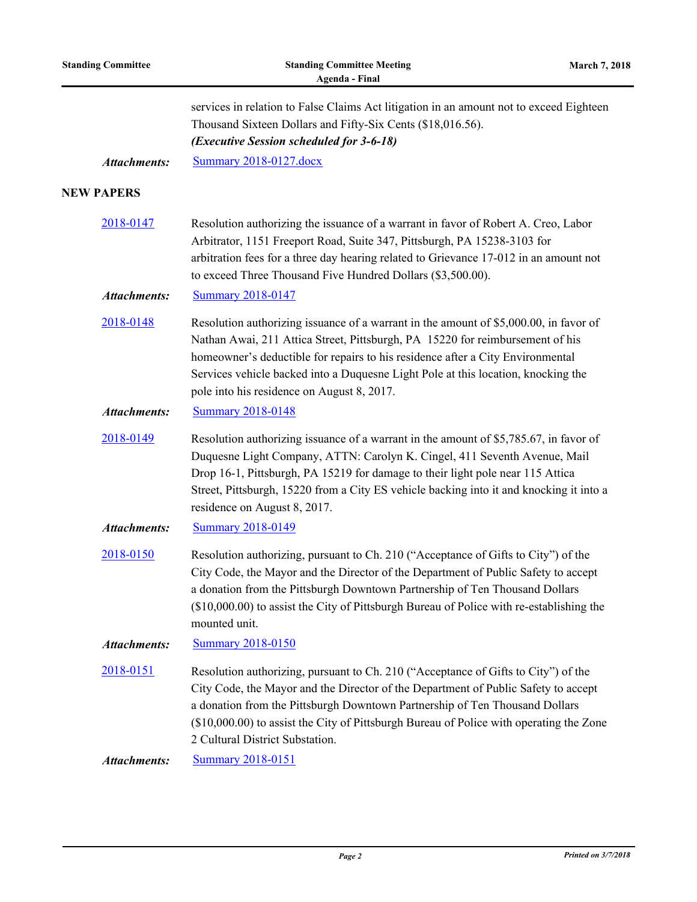| <b>Standing Committee</b> | <b>Standing Committee Meeting</b><br>March 7, 2018<br><b>Agenda - Final</b>                                                                                                                                                                                                                                                                                                                 |  |
|---------------------------|---------------------------------------------------------------------------------------------------------------------------------------------------------------------------------------------------------------------------------------------------------------------------------------------------------------------------------------------------------------------------------------------|--|
|                           | services in relation to False Claims Act litigation in an amount not to exceed Eighteen<br>Thousand Sixteen Dollars and Fifty-Six Cents (\$18,016.56).<br>(Executive Session scheduled for 3-6-18)                                                                                                                                                                                          |  |
| <b>Attachments:</b>       | <b>Summary 2018-0127.docx</b>                                                                                                                                                                                                                                                                                                                                                               |  |
| <b>NEW PAPERS</b>         |                                                                                                                                                                                                                                                                                                                                                                                             |  |
| 2018-0147                 | Resolution authorizing the issuance of a warrant in favor of Robert A. Creo, Labor<br>Arbitrator, 1151 Freeport Road, Suite 347, Pittsburgh, PA 15238-3103 for<br>arbitration fees for a three day hearing related to Grievance 17-012 in an amount not<br>to exceed Three Thousand Five Hundred Dollars (\$3,500.00).                                                                      |  |
| <b>Attachments:</b>       | <b>Summary 2018-0147</b>                                                                                                                                                                                                                                                                                                                                                                    |  |
| 2018-0148                 | Resolution authorizing issuance of a warrant in the amount of \$5,000.00, in favor of<br>Nathan Awai, 211 Attica Street, Pittsburgh, PA 15220 for reimbursement of his<br>homeowner's deductible for repairs to his residence after a City Environmental<br>Services vehicle backed into a Duquesne Light Pole at this location, knocking the<br>pole into his residence on August 8, 2017. |  |
| <b>Attachments:</b>       | <b>Summary 2018-0148</b>                                                                                                                                                                                                                                                                                                                                                                    |  |
| 2018-0149                 | Resolution authorizing issuance of a warrant in the amount of \$5,785.67, in favor of<br>Duquesne Light Company, ATTN: Carolyn K. Cingel, 411 Seventh Avenue, Mail<br>Drop 16-1, Pittsburgh, PA 15219 for damage to their light pole near 115 Attica<br>Street, Pittsburgh, 15220 from a City ES vehicle backing into it and knocking it into a<br>residence on August 8, 2017.             |  |
| <b>Attachments:</b>       | <b>Summary 2018-0149</b>                                                                                                                                                                                                                                                                                                                                                                    |  |
| 2018-0150                 | Resolution authorizing, pursuant to Ch. 210 ("Acceptance of Gifts to City") of the<br>City Code, the Mayor and the Director of the Department of Public Safety to accept<br>a donation from the Pittsburgh Downtown Partnership of Ten Thousand Dollars<br>(\$10,000.00) to assist the City of Pittsburgh Bureau of Police with re-establishing the<br>mounted unit.                        |  |
| <b>Attachments:</b>       | <b>Summary 2018-0150</b>                                                                                                                                                                                                                                                                                                                                                                    |  |
| 2018-0151                 | Resolution authorizing, pursuant to Ch. 210 ("Acceptance of Gifts to City") of the<br>City Code, the Mayor and the Director of the Department of Public Safety to accept<br>a donation from the Pittsburgh Downtown Partnership of Ten Thousand Dollars<br>(\$10,000.00) to assist the City of Pittsburgh Bureau of Police with operating the Zone<br>2 Cultural District Substation.       |  |
| <b>Attachments:</b>       | <b>Summary 2018-0151</b>                                                                                                                                                                                                                                                                                                                                                                    |  |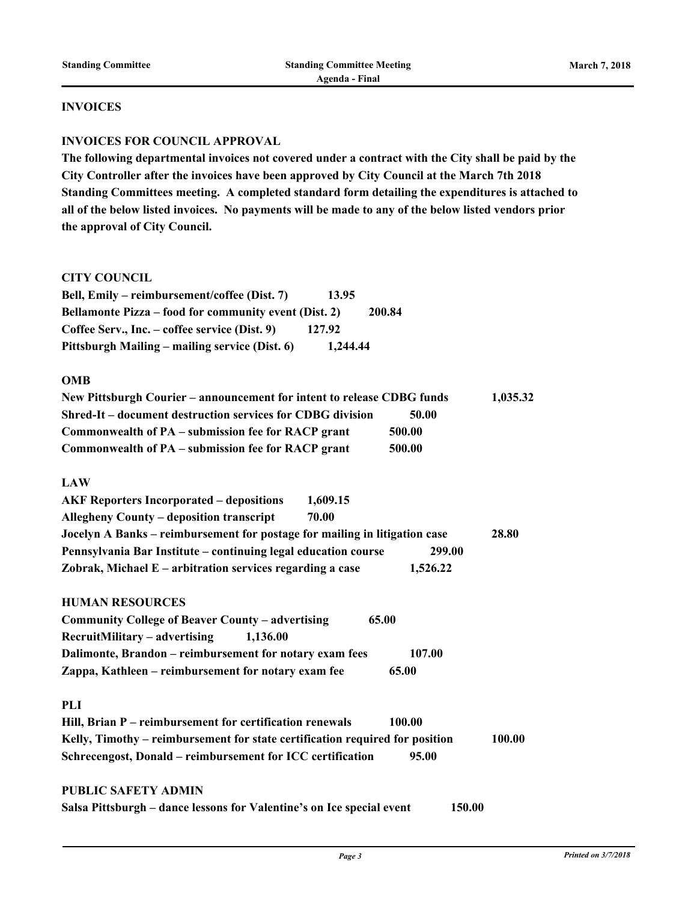### **INVOICES**

#### **INVOICES FOR COUNCIL APPROVAL**

**The following departmental invoices not covered under a contract with the City shall be paid by the City Controller after the invoices have been approved by City Council at the March 7th 2018 Standing Committees meeting. A completed standard form detailing the expenditures is attached to all of the below listed invoices. No payments will be made to any of the below listed vendors prior the approval of City Council.** 

#### **CITY COUNCIL**

| Bell, Emily – reimbursement/coffee (Dist. 7)          | 13.95    |        |
|-------------------------------------------------------|----------|--------|
| Bellamonte Pizza – food for community event (Dist. 2) |          | 200.84 |
| Coffee Serv., Inc. – coffee service (Dist. 9)         | 127.92   |        |
| Pittsburgh Mailing – mailing service (Dist. 6)        | 1,244.44 |        |

#### **OMB**

| New Pittsburgh Courier – announcement for intent to release CDBG funds |        | 1,035.32 |
|------------------------------------------------------------------------|--------|----------|
| Shred-It – document destruction services for CDBG division             | 50.00  |          |
| Commonwealth of PA – submission fee for RACP grant                     | 500.00 |          |
| Commonwealth of PA – submission fee for RACP grant                     | 500.00 |          |

#### **LAW**

| <b>AKF Reporters Incorporated – depositions</b>                            | 1,609.15 |          |       |
|----------------------------------------------------------------------------|----------|----------|-------|
| <b>Allegheny County – deposition transcript</b>                            | 70.00    |          |       |
| Jocelyn A Banks – reimbursement for postage for mailing in litigation case |          |          | 28.80 |
| Pennsylvania Bar Institute – continuing legal education course             |          | 299.00   |       |
| Zobrak, Michael $E$ – arbitration services regarding a case                |          | 1,526.22 |       |

## **HUMAN RESOURCES**

| Community College of Beaver County – advertising        | 65.00  |
|---------------------------------------------------------|--------|
| $RecruitMility - advertising$<br>1.136.00               |        |
| Dalimonte, Brandon – reimbursement for notary exam fees | 107.00 |
| Zappa, Kathleen – reimbursement for notary exam fee     | 65.00  |

#### **PLI**

| Hill, Brian P – reimbursement for certification renewals                     | 100.00 |        |
|------------------------------------------------------------------------------|--------|--------|
| Kelly, Timothy – reimbursement for state certification required for position |        | 100.00 |
| Schreeengost, Donald – reimbursement for ICC certification                   | 95.00  |        |

## **PUBLIC SAFETY ADMIN**

| Salsa Pittsburgh – dance lessons for Valentine's on Ice special event | 150.00 |
|-----------------------------------------------------------------------|--------|
|-----------------------------------------------------------------------|--------|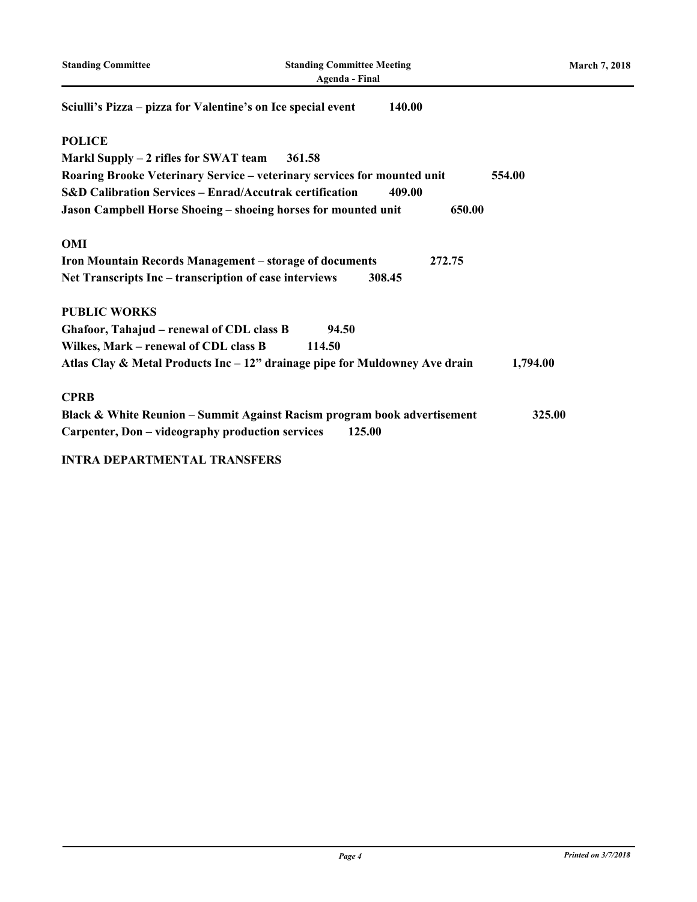| <b>Standing Committee</b>                                          | <b>Standing Committee Meeting</b><br><b>Agenda</b> - Final                  | <b>March 7, 2018</b> |
|--------------------------------------------------------------------|-----------------------------------------------------------------------------|----------------------|
| Sciulli's Pizza – pizza for Valentine's on Ice special event       | 140.00                                                                      |                      |
| <b>POLICE</b>                                                      |                                                                             |                      |
| Markl Supply – 2 rifles for SWAT team                              | 361.58                                                                      |                      |
|                                                                    | Roaring Brooke Veterinary Service - veterinary services for mounted unit    | 554.00               |
| <b>S&amp;D Calibration Services - Enrad/Accutrak certification</b> | 409.00                                                                      |                      |
|                                                                    | Jason Campbell Horse Shoeing - shoeing horses for mounted unit<br>650.00    |                      |
| <b>OMI</b>                                                         |                                                                             |                      |
|                                                                    | Iron Mountain Records Management – storage of documents<br>272.75           |                      |
| Net Transcripts Inc – transcription of case interviews             | 308.45                                                                      |                      |
| <b>PUBLIC WORKS</b>                                                |                                                                             |                      |
| Ghafoor, Tahajud - renewal of CDL class B                          | 94.50                                                                       |                      |
| Wilkes, Mark – renewal of CDL class B                              | 114.50                                                                      |                      |
|                                                                    | Atlas Clay & Metal Products Inc – 12" drainage pipe for Muldowney Ave drain | 1,794.00             |
| <b>CPRB</b>                                                        |                                                                             |                      |
|                                                                    | Black & White Reunion - Summit Against Racism program book advertisement    | 325.00               |
| Carpenter, Don - videography production services                   | 125.00                                                                      |                      |
| $\mathbf{r}$                                                       |                                                                             |                      |

## **INTRA DEPARTMENTAL TRANSFERS**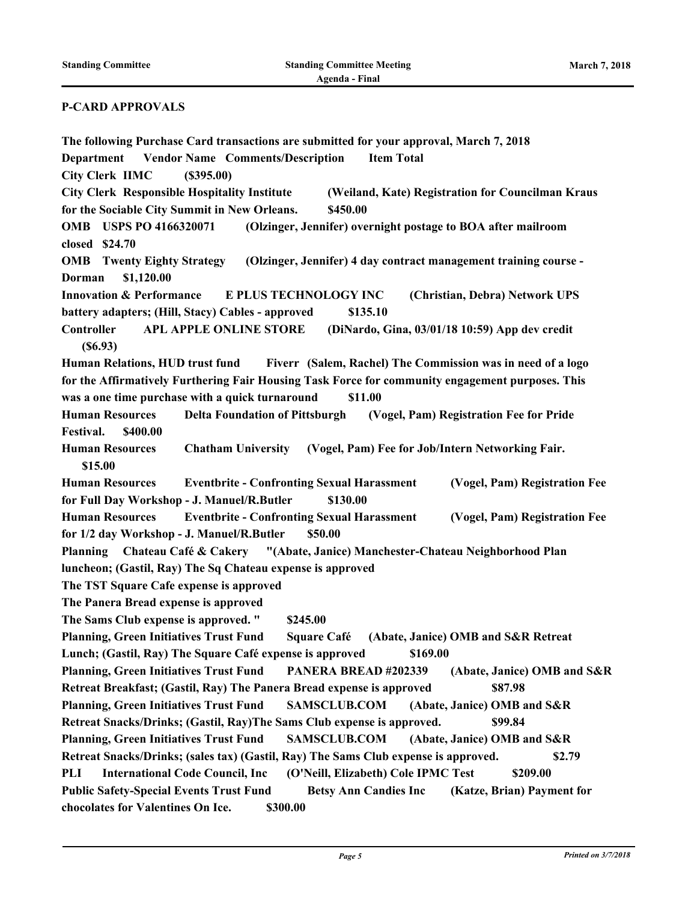#### **P-CARD APPROVALS**

**The following Purchase Card transactions are submitted for your approval, March 7, 2018 Department Vendor Name Comments/Description Item Total City Clerk IIMC (\$395.00) City Clerk Responsible Hospitality Institute (Weiland, Kate) Registration for Councilman Kraus for the Sociable City Summit in New Orleans. \$450.00 OMB USPS PO 4166320071 (Olzinger, Jennifer) overnight postage to BOA after mailroom closed \$24.70 OMB Twenty Eighty Strategy (Olzinger, Jennifer) 4 day contract management training course - Dorman \$1,120.00 Innovation & Performance E PLUS TECHNOLOGY INC (Christian, Debra) Network UPS battery adapters; (Hill, Stacy) Cables - approved \$135.10 Controller APL APPLE ONLINE STORE (DiNardo, Gina, 03/01/18 10:59) App dev credit (\$6.93) Human Relations, HUD trust fund Fiverr (Salem, Rachel) The Commission was in need of a logo for the Affirmatively Furthering Fair Housing Task Force for community engagement purposes. This was a one time purchase with a quick turnaround \$11.00 Human Resources Delta Foundation of Pittsburgh (Vogel, Pam) Registration Fee for Pride Festival. \$400.00 Human Resources Chatham University (Vogel, Pam) Fee for Job/Intern Networking Fair. \$15.00 Human Resources Eventbrite - Confronting Sexual Harassment (Vogel, Pam) Registration Fee for Full Day Workshop - J. Manuel/R.Butler \$130.00 Human Resources Eventbrite - Confronting Sexual Harassment (Vogel, Pam) Registration Fee for 1/2 day Workshop - J. Manuel/R.Butler \$50.00 Planning Chateau Café & Cakery "(Abate, Janice) Manchester-Chateau Neighborhood Plan luncheon; (Gastil, Ray) The Sq Chateau expense is approved The TST Square Cafe expense is approved The Panera Bread expense is approved The Sams Club expense is approved. " \$245.00 Planning, Green Initiatives Trust Fund Square Café (Abate, Janice) OMB and S&R Retreat Lunch; (Gastil, Ray) The Square Café expense is approved \$169.00 Planning, Green Initiatives Trust Fund PANERA BREAD #202339 (Abate, Janice) OMB and S&R Retreat Breakfast; (Gastil, Ray) The Panera Bread expense is approved \$87.98 Planning, Green Initiatives Trust Fund SAMSCLUB.COM (Abate, Janice) OMB and S&R Retreat Snacks/Drinks; (Gastil, Ray)The Sams Club expense is approved. \$99.84 Planning, Green Initiatives Trust Fund SAMSCLUB.COM (Abate, Janice) OMB and S&R Retreat Snacks/Drinks; (sales tax) (Gastil, Ray) The Sams Club expense is approved. \$2.79 PLI International Code Council, Inc (O'Neill, Elizabeth) Cole IPMC Test \$209.00 Public Safety-Special Events Trust Fund Betsy Ann Candies Inc (Katze, Brian) Payment for chocolates for Valentines On Ice. \$300.00**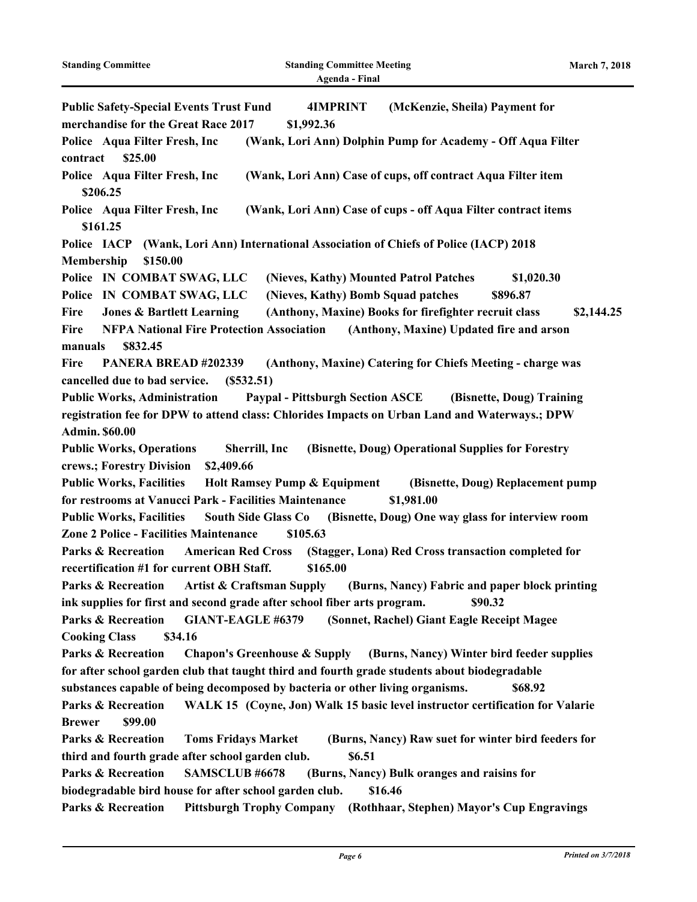| <b>Public Safety-Special Events Trust Fund</b><br>(McKenzie, Sheila) Payment for<br><b>4IMPRINT</b>                        |
|----------------------------------------------------------------------------------------------------------------------------|
| merchandise for the Great Race 2017<br>\$1,992.36                                                                          |
| Police Aqua Filter Fresh, Inc<br>(Wank, Lori Ann) Dolphin Pump for Academy - Off Aqua Filter                               |
| contract<br>\$25.00                                                                                                        |
| Police Aqua Filter Fresh, Inc<br>(Wank, Lori Ann) Case of cups, off contract Aqua Filter item                              |
| \$206.25                                                                                                                   |
| Police Aqua Filter Fresh, Inc<br>(Wank, Lori Ann) Case of cups - off Aqua Filter contract items                            |
| \$161.25                                                                                                                   |
| Police IACP<br>(Wank, Lori Ann) International Association of Chiefs of Police (IACP) 2018                                  |
| Membership<br>\$150.00                                                                                                     |
| Police IN COMBAT SWAG, LLC<br>(Nieves, Kathy) Mounted Patrol Patches<br>\$1,020.30                                         |
| (Nieves, Kathy) Bomb Squad patches<br>Police IN COMBAT SWAG, LLC<br>\$896.87                                               |
| (Anthony, Maxine) Books for firefighter recruit class<br><b>Jones &amp; Bartlett Learning</b><br>\$2,144.25<br><b>Fire</b> |
| <b>NFPA National Fire Protection Association</b><br>(Anthony, Maxine) Updated fire and arson<br><b>Fire</b>                |
| \$832.45<br>manuals                                                                                                        |
| (Anthony, Maxine) Catering for Chiefs Meeting - charge was<br>Fire<br>PANERA BREAD #202339                                 |
| cancelled due to bad service.<br>(S532.51)                                                                                 |
| <b>Public Works, Administration</b><br><b>Paypal - Pittsburgh Section ASCE</b><br>(Bisnette, Doug) Training                |
| registration fee for DPW to attend class: Chlorides Impacts on Urban Land and Waterways.; DPW                              |
| <b>Admin. \$60.00</b>                                                                                                      |
| <b>Public Works, Operations</b><br>(Bisnette, Doug) Operational Supplies for Forestry<br>Sherrill, Inc                     |
| crews.; Forestry Division<br>\$2,409.66                                                                                    |
| <b>Public Works, Facilities</b><br><b>Holt Ramsey Pump &amp; Equipment</b><br>(Bisnette, Doug) Replacement pump            |
| for restrooms at Vanucci Park - Facilities Maintenance<br>\$1,981.00                                                       |
| <b>Public Works, Facilities</b><br>South Side Glass Co (Bisnette, Doug) One way glass for interview room                   |
| Zone 2 Police - Facilities Maintenance<br>\$105.63                                                                         |
| <b>Parks &amp; Recreation</b><br><b>American Red Cross</b><br>(Stagger, Lona) Red Cross transaction completed for          |
| recertification #1 for current OBH Staff.<br>\$165.00                                                                      |
| Artist & Craftsman Supply (Burns, Nancy) Fabric and paper block printing<br><b>Parks &amp; Recreation</b>                  |
| ink supplies for first and second grade after school fiber arts program.<br>\$90.32                                        |
| <b>GIANT-EAGLE #6379</b><br>(Sonnet, Rachel) Giant Eagle Receipt Magee<br><b>Parks &amp; Recreation</b>                    |
| <b>Cooking Class</b><br>\$34.16                                                                                            |
| <b>Parks &amp; Recreation</b><br>Chapon's Greenhouse & Supply (Burns, Nancy) Winter bird feeder supplies                   |
| for after school garden club that taught third and fourth grade students about biodegradable                               |
| substances capable of being decomposed by bacteria or other living organisms.<br>\$68.92                                   |
| <b>Parks &amp; Recreation</b><br>WALK 15 (Coyne, Jon) Walk 15 basic level instructor certification for Valarie             |
| \$99.00<br><b>Brewer</b>                                                                                                   |
|                                                                                                                            |
| <b>Parks &amp; Recreation</b><br><b>Toms Fridays Market</b><br>(Burns, Nancy) Raw suet for winter bird feeders for         |
| third and fourth grade after school garden club.<br>\$6.51                                                                 |
| <b>Parks &amp; Recreation</b><br>SAMSCLUB #6678<br>(Burns, Nancy) Bulk oranges and raisins for                             |
| \$16.46<br>biodegradable bird house for after school garden club.                                                          |
| <b>Parks &amp; Recreation</b><br>Pittsburgh Trophy Company (Rothhaar, Stephen) Mayor's Cup Engravings                      |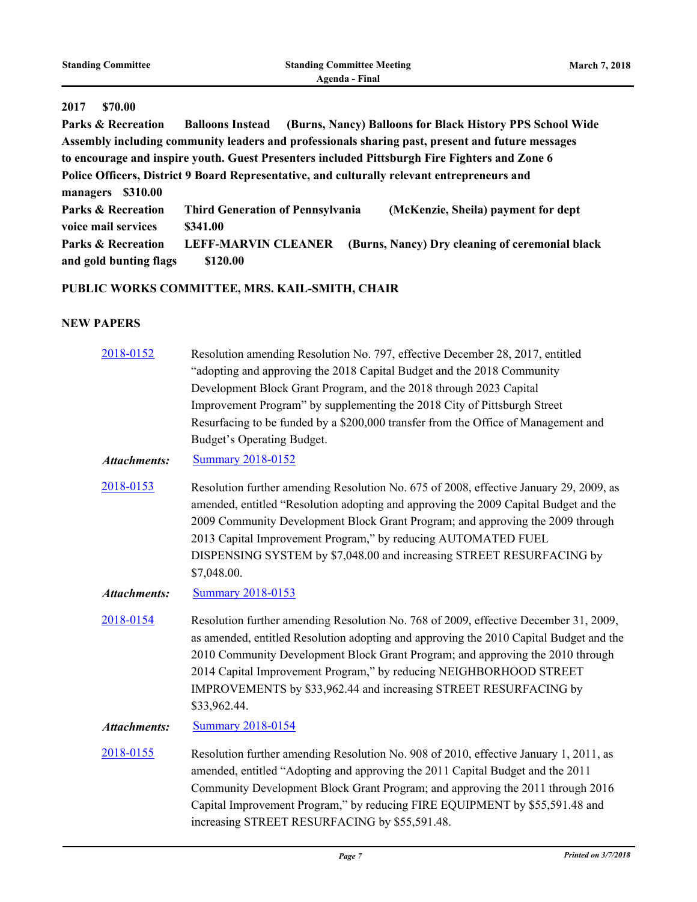| <b>Standing Committee</b>     |                         | <b>Standing Committee Meeting</b>                         | <b>March 7, 2018</b> |
|-------------------------------|-------------------------|-----------------------------------------------------------|----------------------|
|                               |                         | Agenda - Final                                            |                      |
| 2017<br>\$70.00               |                         |                                                           |                      |
| <b>Parks &amp; Recreation</b> | <b>Balloons Instead</b> | (Burns, Nancy) Balloons for Black History PPS School Wide |                      |

**Assembly including community leaders and professionals sharing past, present and future messages to encourage and inspire youth. Guest Presenters included Pittsburgh Fire Fighters and Zone 6 Police Officers, District 9 Board Representative, and culturally relevant entrepreneurs and managers \$310.00 Parks & Recreation Third Generation of Pennsylvania (McKenzie, Sheila) payment for dept voice mail services \$341.00 Parks & Recreation LEFF-MARVIN CLEANER (Burns, Nancy) Dry cleaning of ceremonial black and gold bunting flags \$120.00**

### **PUBLIC WORKS COMMITTEE, MRS. KAIL-SMITH, CHAIR**

### **NEW PAPERS**

| 2018-0152           | Resolution amending Resolution No. 797, effective December 28, 2017, entitled                                                                                                                                                                                                                                                                                                                                              |
|---------------------|----------------------------------------------------------------------------------------------------------------------------------------------------------------------------------------------------------------------------------------------------------------------------------------------------------------------------------------------------------------------------------------------------------------------------|
|                     | "adopting and approving the 2018 Capital Budget and the 2018 Community                                                                                                                                                                                                                                                                                                                                                     |
|                     | Development Block Grant Program, and the 2018 through 2023 Capital                                                                                                                                                                                                                                                                                                                                                         |
|                     | Improvement Program" by supplementing the 2018 City of Pittsburgh Street                                                                                                                                                                                                                                                                                                                                                   |
|                     | Resurfacing to be funded by a \$200,000 transfer from the Office of Management and                                                                                                                                                                                                                                                                                                                                         |
|                     | Budget's Operating Budget.                                                                                                                                                                                                                                                                                                                                                                                                 |
| <b>Attachments:</b> | <b>Summary 2018-0152</b>                                                                                                                                                                                                                                                                                                                                                                                                   |
| 2018-0153           | Resolution further amending Resolution No. 675 of 2008, effective January 29, 2009, as<br>amended, entitled "Resolution adopting and approving the 2009 Capital Budget and the<br>2009 Community Development Block Grant Program; and approving the 2009 through<br>2013 Capital Improvement Program," by reducing AUTOMATED FUEL<br>DISPENSING SYSTEM by \$7,048.00 and increasing STREET RESURFACING by                  |
|                     | \$7,048.00.                                                                                                                                                                                                                                                                                                                                                                                                                |
| <b>Attachments:</b> | <b>Summary 2018-0153</b>                                                                                                                                                                                                                                                                                                                                                                                                   |
| 2018-0154           | Resolution further amending Resolution No. 768 of 2009, effective December 31, 2009,<br>as amended, entitled Resolution adopting and approving the 2010 Capital Budget and the<br>2010 Community Development Block Grant Program; and approving the 2010 through<br>2014 Capital Improvement Program," by reducing NEIGHBORHOOD STREET<br>IMPROVEMENTS by \$33,962.44 and increasing STREET RESURFACING by<br>\$33,962.44. |
| <b>Attachments:</b> | <b>Summary 2018-0154</b>                                                                                                                                                                                                                                                                                                                                                                                                   |
| 2018-0155           | Resolution further amending Resolution No. 908 of 2010, effective January 1, 2011, as<br>amended, entitled "Adopting and approving the 2011 Capital Budget and the 2011<br>Community Development Block Grant Program; and approving the 2011 through 2016<br>Capital Improvement Program," by reducing FIRE EQUIPMENT by \$55,591.48 and<br>increasing STREET RESURFACING by \$55,591.48.                                  |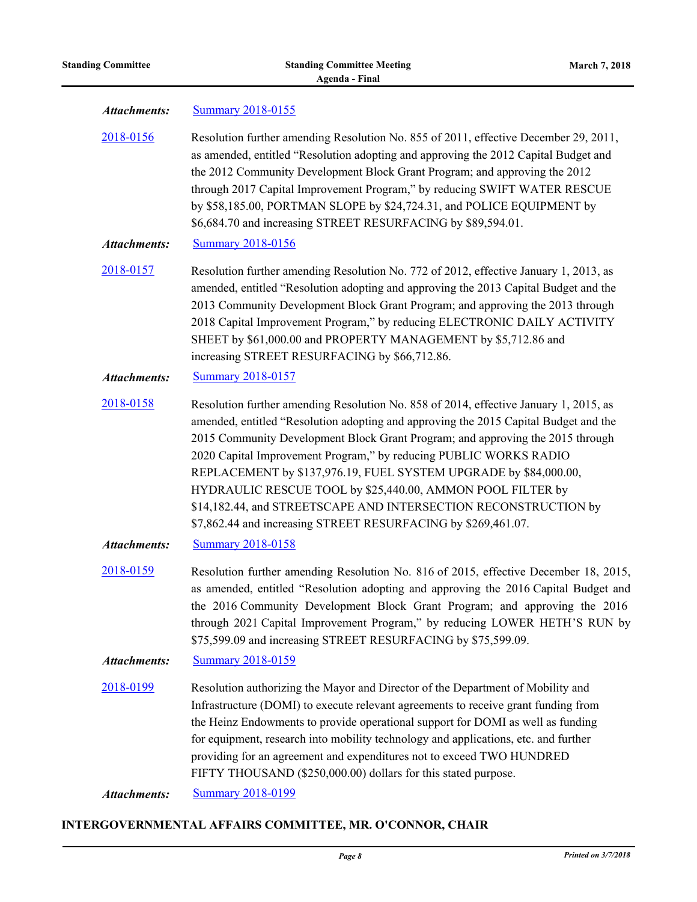| Attachments: | <b>Summary 2018-0155</b> |  |
|--------------|--------------------------|--|
|              |                          |  |

[2018-0156](http://pittsburgh.legistar.com/gateway.aspx?m=l&id=/matter.aspx?key=22455) Resolution further amending Resolution No. 855 of 2011, effective December 29, 2011, as amended, entitled "Resolution adopting and approving the 2012 Capital Budget and the 2012 Community Development Block Grant Program; and approving the 2012 through 2017 Capital Improvement Program," by reducing SWIFT WATER RESCUE by \$58,185.00, PORTMAN SLOPE by \$24,724.31, and POLICE EQUIPMENT by \$6,684.70 and increasing STREET RESURFACING by \$89,594.01.

*Attachments:* [Summary 2018-0156](http://pittsburgh.legistar.com/gateway.aspx?M=F&ID=46f41fae-1ff0-4812-8de9-723dc311dc51.docx)

[2018-0157](http://pittsburgh.legistar.com/gateway.aspx?m=l&id=/matter.aspx?key=22456) Resolution further amending Resolution No. 772 of 2012, effective January 1, 2013, as amended, entitled "Resolution adopting and approving the 2013 Capital Budget and the 2013 Community Development Block Grant Program; and approving the 2013 through 2018 Capital Improvement Program," by reducing ELECTRONIC DAILY ACTIVITY SHEET by \$61,000.00 and PROPERTY MANAGEMENT by \$5,712.86 and increasing STREET RESURFACING by \$66,712.86.

#### *Attachments:* [Summary 2018-0157](http://pittsburgh.legistar.com/gateway.aspx?M=F&ID=60a527c5-3cef-4434-93cf-404ad8d7b136.docx)

[2018-0158](http://pittsburgh.legistar.com/gateway.aspx?m=l&id=/matter.aspx?key=22457) Resolution further amending Resolution No. 858 of 2014, effective January 1, 2015, as amended, entitled "Resolution adopting and approving the 2015 Capital Budget and the 2015 Community Development Block Grant Program; and approving the 2015 through 2020 Capital Improvement Program," by reducing PUBLIC WORKS RADIO REPLACEMENT by \$137,976.19, FUEL SYSTEM UPGRADE by \$84,000.00, HYDRAULIC RESCUE TOOL by \$25,440.00, AMMON POOL FILTER by \$14,182.44, and STREETSCAPE AND INTERSECTION RECONSTRUCTION by \$7,862.44 and increasing STREET RESURFACING by \$269,461.07.

*Attachments:* [Summary 2018-0158](http://pittsburgh.legistar.com/gateway.aspx?M=F&ID=200b90f4-f5ee-41ab-9000-bdd22930fbc9.docx)

[2018-0159](http://pittsburgh.legistar.com/gateway.aspx?m=l&id=/matter.aspx?key=22458) Resolution further amending Resolution No. 816 of 2015, effective December 18, 2015, as amended, entitled "Resolution adopting and approving the 2016 Capital Budget and the 2016 Community Development Block Grant Program; and approving the 2016 through 2021 Capital Improvement Program," by reducing LOWER HETH'S RUN by \$75,599.09 and increasing STREET RESURFACING by \$75,599.09.

### *Attachments:* [Summary 2018-0159](http://pittsburgh.legistar.com/gateway.aspx?M=F&ID=f51be9e5-1ef2-49df-8b65-e4fc5d9c40bb.docx)

[2018-0199](http://pittsburgh.legistar.com/gateway.aspx?m=l&id=/matter.aspx?key=22498) Resolution authorizing the Mayor and Director of the Department of Mobility and Infrastructure (DOMI) to execute relevant agreements to receive grant funding from the Heinz Endowments to provide operational support for DOMI as well as funding for equipment, research into mobility technology and applications, etc. and further providing for an agreement and expenditures not to exceed TWO HUNDRED FIFTY THOUSAND (\$250,000.00) dollars for this stated purpose.

*Attachments:* [Summary 2018-0199](http://pittsburgh.legistar.com/gateway.aspx?M=F&ID=1eb60f38-c8c6-4e91-b009-0591af769d32.docx)

#### **INTERGOVERNMENTAL AFFAIRS COMMITTEE, MR. O'CONNOR, CHAIR**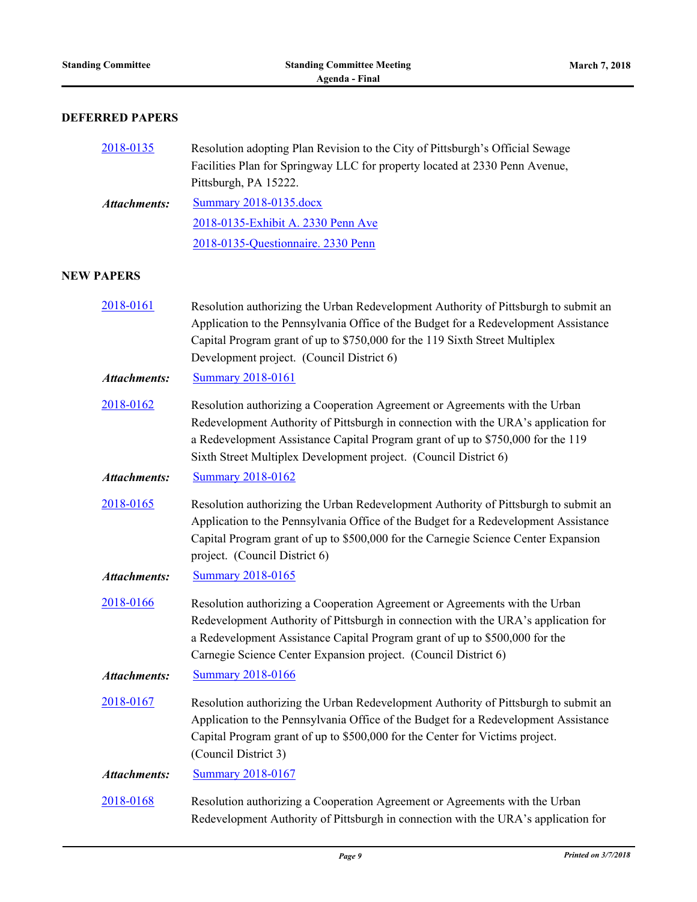$NEW$ 

## **DEFERRED PAPERS**

| 2018-0135           | Resolution adopting Plan Revision to the City of Pittsburgh's Official Sewage<br>Facilities Plan for Springway LLC for property located at 2330 Penn Avenue,<br>Pittsburgh, PA 15222.                                                                                                                                    |
|---------------------|--------------------------------------------------------------------------------------------------------------------------------------------------------------------------------------------------------------------------------------------------------------------------------------------------------------------------|
| <b>Attachments:</b> | Summary 2018-0135.docx                                                                                                                                                                                                                                                                                                   |
|                     | 2018-0135-Exhibit A. 2330 Penn Ave                                                                                                                                                                                                                                                                                       |
|                     | 2018-0135-Questionnaire. 2330 Penn                                                                                                                                                                                                                                                                                       |
| PAPERS              |                                                                                                                                                                                                                                                                                                                          |
| 2018-0161           | Resolution authorizing the Urban Redevelopment Authority of Pittsburgh to submit an<br>Application to the Pennsylvania Office of the Budget for a Redevelopment Assistance<br>Capital Program grant of up to \$750,000 for the 119 Sixth Street Multiplex<br>Development project. (Council District 6)                   |
| <b>Attachments:</b> | <b>Summary 2018-0161</b>                                                                                                                                                                                                                                                                                                 |
| 2018-0162           | Resolution authorizing a Cooperation Agreement or Agreements with the Urban<br>Redevelopment Authority of Pittsburgh in connection with the URA's application for<br>a Redevelopment Assistance Capital Program grant of up to \$750,000 for the 119<br>Sixth Street Multiplex Development project. (Council District 6) |
| <b>Attachments:</b> | <b>Summary 2018-0162</b>                                                                                                                                                                                                                                                                                                 |
| 2018-0165           | Resolution authorizing the Urban Redevelopment Authority of Pittsburgh to submit an<br>Application to the Pennsylvania Office of the Budget for a Redevelopment Assistance<br>Capital Program grant of up to \$500,000 for the Carnegie Science Center Expansion<br>project. (Council District 6)                        |
| <b>Attachments:</b> | <b>Summary 2018-0165</b>                                                                                                                                                                                                                                                                                                 |
| 2018-0166           | Resolution authorizing a Cooperation Agreement or Agreements with the Urban<br>Redevelopment Authority of Pittsburgh in connection with the URA's application for<br>a Redevelopment Assistance Capital Program grant of up to \$500,000 for the<br>Carnegie Science Center Expansion project. (Council District 6)      |
| <b>Attachments:</b> | <b>Summary 2018-0166</b>                                                                                                                                                                                                                                                                                                 |
| 2018-0167           | Resolution authorizing the Urban Redevelopment Authority of Pittsburgh to submit an<br>Application to the Pennsylvania Office of the Budget for a Redevelopment Assistance<br>Capital Program grant of up to \$500,000 for the Center for Victims project.<br>(Council District 3)                                       |
| <b>Attachments:</b> | <b>Summary 2018-0167</b>                                                                                                                                                                                                                                                                                                 |
| 2018-0168           | Resolution authorizing a Cooperation Agreement or Agreements with the Urban<br>Redevelopment Authority of Pittsburgh in connection with the URA's application for                                                                                                                                                        |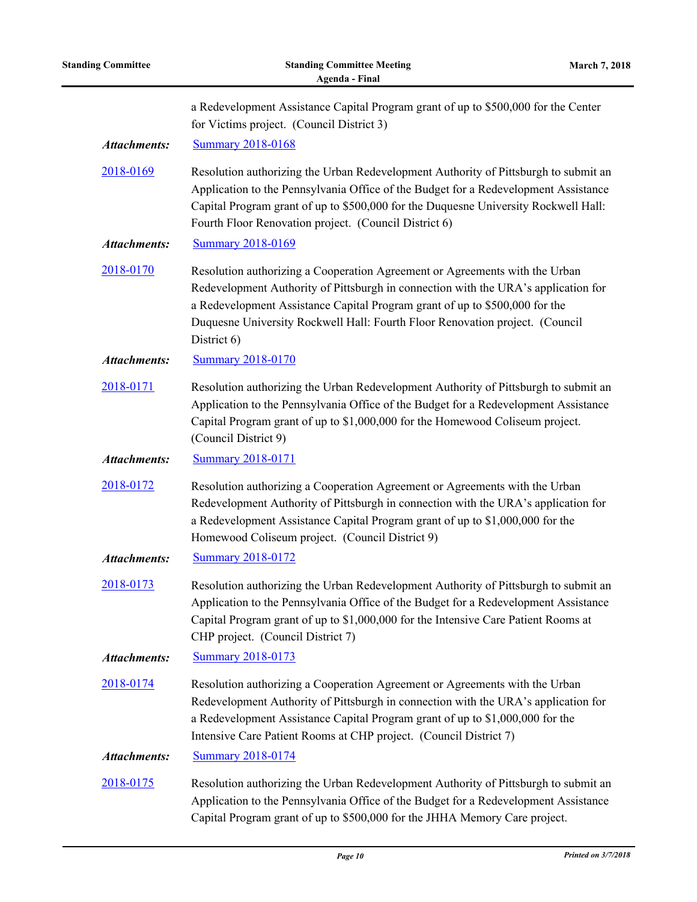| <b>Standing Committee</b> | <b>Standing Committee Meeting</b><br><b>Agenda - Final</b>                                                                                                                                                                                                                                                                                      | <b>March 7, 2018</b> |
|---------------------------|-------------------------------------------------------------------------------------------------------------------------------------------------------------------------------------------------------------------------------------------------------------------------------------------------------------------------------------------------|----------------------|
|                           | a Redevelopment Assistance Capital Program grant of up to \$500,000 for the Center<br>for Victims project. (Council District 3)                                                                                                                                                                                                                 |                      |
| <b>Attachments:</b>       | <b>Summary 2018-0168</b>                                                                                                                                                                                                                                                                                                                        |                      |
| 2018-0169                 | Resolution authorizing the Urban Redevelopment Authority of Pittsburgh to submit an<br>Application to the Pennsylvania Office of the Budget for a Redevelopment Assistance<br>Capital Program grant of up to \$500,000 for the Duquesne University Rockwell Hall:<br>Fourth Floor Renovation project. (Council District 6)                      |                      |
| <b>Attachments:</b>       | <b>Summary 2018-0169</b>                                                                                                                                                                                                                                                                                                                        |                      |
| 2018-0170                 | Resolution authorizing a Cooperation Agreement or Agreements with the Urban<br>Redevelopment Authority of Pittsburgh in connection with the URA's application for<br>a Redevelopment Assistance Capital Program grant of up to \$500,000 for the<br>Duquesne University Rockwell Hall: Fourth Floor Renovation project. (Council<br>District 6) |                      |
| <b>Attachments:</b>       | <b>Summary 2018-0170</b>                                                                                                                                                                                                                                                                                                                        |                      |
| 2018-0171                 | Resolution authorizing the Urban Redevelopment Authority of Pittsburgh to submit an<br>Application to the Pennsylvania Office of the Budget for a Redevelopment Assistance<br>Capital Program grant of up to \$1,000,000 for the Homewood Coliseum project.<br>(Council District 9)                                                             |                      |
| <b>Attachments:</b>       | <b>Summary 2018-0171</b>                                                                                                                                                                                                                                                                                                                        |                      |
| 2018-0172                 | Resolution authorizing a Cooperation Agreement or Agreements with the Urban<br>Redevelopment Authority of Pittsburgh in connection with the URA's application for<br>a Redevelopment Assistance Capital Program grant of up to \$1,000,000 for the<br>Homewood Coliseum project. (Council District 9)                                           |                      |
| <b>Attachments:</b>       | <b>Summary 2018-0172</b>                                                                                                                                                                                                                                                                                                                        |                      |
| 2018-0173                 | Resolution authorizing the Urban Redevelopment Authority of Pittsburgh to submit an<br>Application to the Pennsylvania Office of the Budget for a Redevelopment Assistance<br>Capital Program grant of up to \$1,000,000 for the Intensive Care Patient Rooms at<br>CHP project. (Council District 7)                                           |                      |
| <b>Attachments:</b>       | <b>Summary 2018-0173</b>                                                                                                                                                                                                                                                                                                                        |                      |
| 2018-0174                 | Resolution authorizing a Cooperation Agreement or Agreements with the Urban<br>Redevelopment Authority of Pittsburgh in connection with the URA's application for<br>a Redevelopment Assistance Capital Program grant of up to \$1,000,000 for the<br>Intensive Care Patient Rooms at CHP project. (Council District 7)                         |                      |
| <b>Attachments:</b>       | <b>Summary 2018-0174</b>                                                                                                                                                                                                                                                                                                                        |                      |
| 2018-0175                 | Resolution authorizing the Urban Redevelopment Authority of Pittsburgh to submit an<br>Application to the Pennsylvania Office of the Budget for a Redevelopment Assistance<br>Capital Program grant of up to \$500,000 for the JHHA Memory Care project.                                                                                        |                      |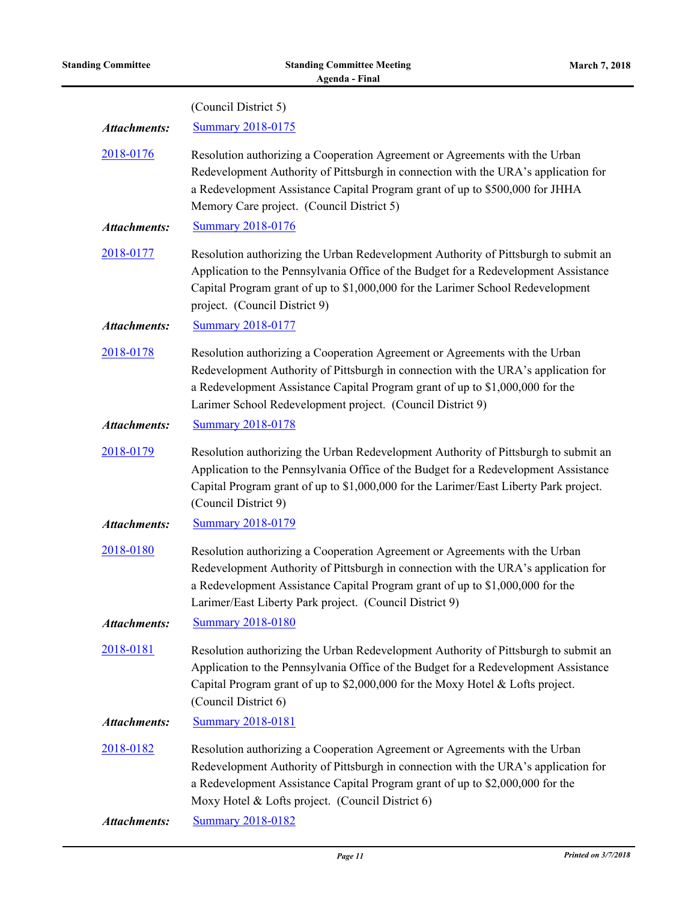|                     | (Council District 5)                                                                                                                                                                                                                                                                                             |
|---------------------|------------------------------------------------------------------------------------------------------------------------------------------------------------------------------------------------------------------------------------------------------------------------------------------------------------------|
| <b>Attachments:</b> | <b>Summary 2018-0175</b>                                                                                                                                                                                                                                                                                         |
| 2018-0176           | Resolution authorizing a Cooperation Agreement or Agreements with the Urban<br>Redevelopment Authority of Pittsburgh in connection with the URA's application for<br>a Redevelopment Assistance Capital Program grant of up to \$500,000 for JHHA<br>Memory Care project. (Council District 5)                   |
| <b>Attachments:</b> | <b>Summary 2018-0176</b>                                                                                                                                                                                                                                                                                         |
| 2018-0177           | Resolution authorizing the Urban Redevelopment Authority of Pittsburgh to submit an<br>Application to the Pennsylvania Office of the Budget for a Redevelopment Assistance<br>Capital Program grant of up to \$1,000,000 for the Larimer School Redevelopment<br>project. (Council District 9)                   |
| <b>Attachments:</b> | <b>Summary 2018-0177</b>                                                                                                                                                                                                                                                                                         |
| 2018-0178           | Resolution authorizing a Cooperation Agreement or Agreements with the Urban<br>Redevelopment Authority of Pittsburgh in connection with the URA's application for<br>a Redevelopment Assistance Capital Program grant of up to \$1,000,000 for the<br>Larimer School Redevelopment project. (Council District 9) |
| <b>Attachments:</b> | <b>Summary 2018-0178</b>                                                                                                                                                                                                                                                                                         |
| 2018-0179           | Resolution authorizing the Urban Redevelopment Authority of Pittsburgh to submit an<br>Application to the Pennsylvania Office of the Budget for a Redevelopment Assistance<br>Capital Program grant of up to \$1,000,000 for the Larimer/East Liberty Park project.<br>(Council District 9)                      |
| <b>Attachments:</b> | <b>Summary 2018-0179</b>                                                                                                                                                                                                                                                                                         |
| 2018-0180           | Resolution authorizing a Cooperation Agreement or Agreements with the Urban<br>Redevelopment Authority of Pittsburgh in connection with the URA's application for<br>a Redevelopment Assistance Capital Program grant of up to \$1,000,000 for the<br>Larimer/East Liberty Park project. (Council District 9)    |
| <b>Attachments:</b> | <b>Summary 2018-0180</b>                                                                                                                                                                                                                                                                                         |
| 2018-0181           | Resolution authorizing the Urban Redevelopment Authority of Pittsburgh to submit an<br>Application to the Pennsylvania Office of the Budget for a Redevelopment Assistance<br>Capital Program grant of up to \$2,000,000 for the Moxy Hotel & Lofts project.<br>(Council District 6)                             |
| <b>Attachments:</b> | <b>Summary 2018-0181</b>                                                                                                                                                                                                                                                                                         |
| 2018-0182           | Resolution authorizing a Cooperation Agreement or Agreements with the Urban<br>Redevelopment Authority of Pittsburgh in connection with the URA's application for<br>a Redevelopment Assistance Capital Program grant of up to \$2,000,000 for the<br>Moxy Hotel & Lofts project. (Council District 6)           |
| <b>Attachments:</b> | <b>Summary 2018-0182</b>                                                                                                                                                                                                                                                                                         |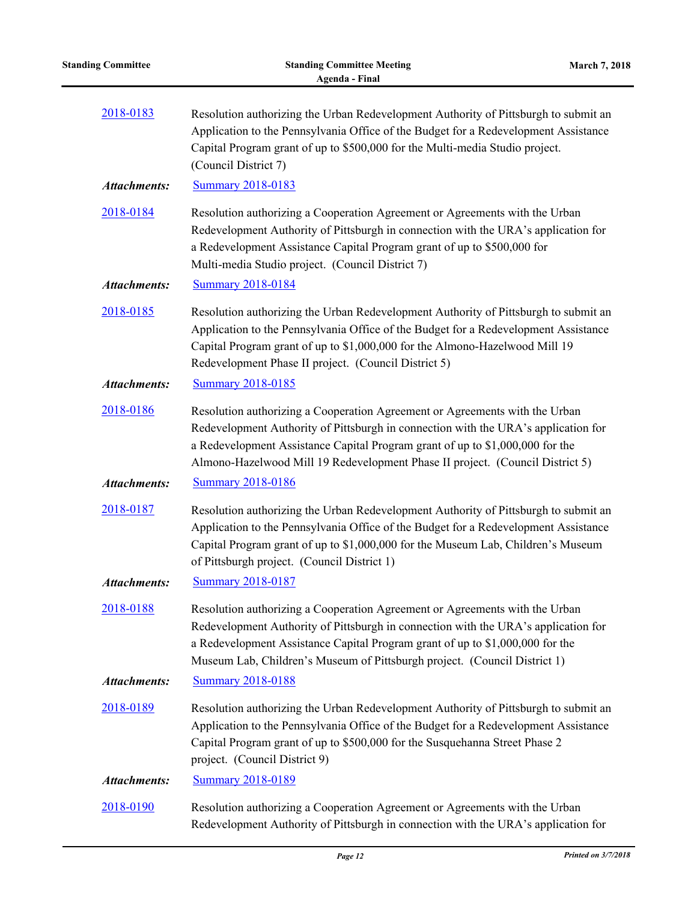| 2018-0183           | Resolution authorizing the Urban Redevelopment Authority of Pittsburgh to submit an<br>Application to the Pennsylvania Office of the Budget for a Redevelopment Assistance<br>Capital Program grant of up to \$500,000 for the Multi-media Studio project.<br>(Council District 7)                                                  |
|---------------------|-------------------------------------------------------------------------------------------------------------------------------------------------------------------------------------------------------------------------------------------------------------------------------------------------------------------------------------|
| <b>Attachments:</b> | <b>Summary 2018-0183</b>                                                                                                                                                                                                                                                                                                            |
| 2018-0184           | Resolution authorizing a Cooperation Agreement or Agreements with the Urban<br>Redevelopment Authority of Pittsburgh in connection with the URA's application for<br>a Redevelopment Assistance Capital Program grant of up to \$500,000 for<br>Multi-media Studio project. (Council District 7)                                    |
| <b>Attachments:</b> | <b>Summary 2018-0184</b>                                                                                                                                                                                                                                                                                                            |
| 2018-0185           | Resolution authorizing the Urban Redevelopment Authority of Pittsburgh to submit an<br>Application to the Pennsylvania Office of the Budget for a Redevelopment Assistance<br>Capital Program grant of up to \$1,000,000 for the Almono-Hazelwood Mill 19<br>Redevelopment Phase II project. (Council District 5)                   |
| <b>Attachments:</b> | <b>Summary 2018-0185</b>                                                                                                                                                                                                                                                                                                            |
| 2018-0186           | Resolution authorizing a Cooperation Agreement or Agreements with the Urban<br>Redevelopment Authority of Pittsburgh in connection with the URA's application for<br>a Redevelopment Assistance Capital Program grant of up to \$1,000,000 for the<br>Almono-Hazelwood Mill 19 Redevelopment Phase II project. (Council District 5) |
| <b>Attachments:</b> | <b>Summary 2018-0186</b>                                                                                                                                                                                                                                                                                                            |
| 2018-0187           | Resolution authorizing the Urban Redevelopment Authority of Pittsburgh to submit an<br>Application to the Pennsylvania Office of the Budget for a Redevelopment Assistance<br>Capital Program grant of up to \$1,000,000 for the Museum Lab, Children's Museum<br>of Pittsburgh project. (Council District 1)                       |
| <b>Attachments:</b> | <b>Summary 2018-0187</b>                                                                                                                                                                                                                                                                                                            |
| 2018-0188           | Resolution authorizing a Cooperation Agreement or Agreements with the Urban<br>Redevelopment Authority of Pittsburgh in connection with the URA's application for<br>a Redevelopment Assistance Capital Program grant of up to \$1,000,000 for the<br>Museum Lab, Children's Museum of Pittsburgh project. (Council District 1)     |
| <b>Attachments:</b> | <b>Summary 2018-0188</b>                                                                                                                                                                                                                                                                                                            |
| 2018-0189           | Resolution authorizing the Urban Redevelopment Authority of Pittsburgh to submit an<br>Application to the Pennsylvania Office of the Budget for a Redevelopment Assistance<br>Capital Program grant of up to \$500,000 for the Susquehanna Street Phase 2<br>project. (Council District 9)                                          |
| <b>Attachments:</b> | <b>Summary 2018-0189</b>                                                                                                                                                                                                                                                                                                            |
| 2018-0190           | Resolution authorizing a Cooperation Agreement or Agreements with the Urban<br>Redevelopment Authority of Pittsburgh in connection with the URA's application for                                                                                                                                                                   |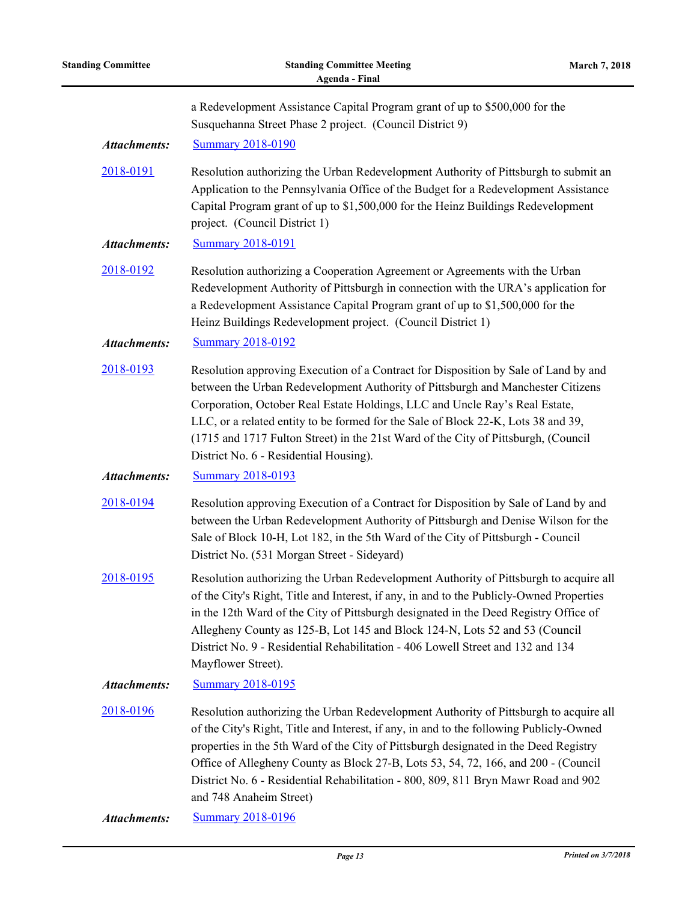| <b>Standing Committee</b> | <b>Standing Committee Meeting</b><br><b>March 7, 2018</b><br><b>Agenda - Final</b>                                                                                                                                                                                                                                                                                                                                                                                              |  |
|---------------------------|---------------------------------------------------------------------------------------------------------------------------------------------------------------------------------------------------------------------------------------------------------------------------------------------------------------------------------------------------------------------------------------------------------------------------------------------------------------------------------|--|
|                           | a Redevelopment Assistance Capital Program grant of up to \$500,000 for the<br>Susquehanna Street Phase 2 project. (Council District 9)                                                                                                                                                                                                                                                                                                                                         |  |
| <b>Attachments:</b>       | <b>Summary 2018-0190</b>                                                                                                                                                                                                                                                                                                                                                                                                                                                        |  |
| 2018-0191                 | Resolution authorizing the Urban Redevelopment Authority of Pittsburgh to submit an<br>Application to the Pennsylvania Office of the Budget for a Redevelopment Assistance<br>Capital Program grant of up to \$1,500,000 for the Heinz Buildings Redevelopment<br>project. (Council District 1)                                                                                                                                                                                 |  |
| <b>Attachments:</b>       | <b>Summary 2018-0191</b>                                                                                                                                                                                                                                                                                                                                                                                                                                                        |  |
| 2018-0192                 | Resolution authorizing a Cooperation Agreement or Agreements with the Urban<br>Redevelopment Authority of Pittsburgh in connection with the URA's application for<br>a Redevelopment Assistance Capital Program grant of up to \$1,500,000 for the<br>Heinz Buildings Redevelopment project. (Council District 1)                                                                                                                                                               |  |
| <b>Attachments:</b>       | <b>Summary 2018-0192</b>                                                                                                                                                                                                                                                                                                                                                                                                                                                        |  |
| 2018-0193                 | Resolution approving Execution of a Contract for Disposition by Sale of Land by and<br>between the Urban Redevelopment Authority of Pittsburgh and Manchester Citizens<br>Corporation, October Real Estate Holdings, LLC and Uncle Ray's Real Estate,<br>LLC, or a related entity to be formed for the Sale of Block 22-K, Lots 38 and 39,<br>(1715 and 1717 Fulton Street) in the 21st Ward of the City of Pittsburgh, (Council<br>District No. 6 - Residential Housing).      |  |
| <b>Attachments:</b>       | <b>Summary 2018-0193</b>                                                                                                                                                                                                                                                                                                                                                                                                                                                        |  |
| 2018-0194                 | Resolution approving Execution of a Contract for Disposition by Sale of Land by and<br>between the Urban Redevelopment Authority of Pittsburgh and Denise Wilson for the<br>Sale of Block 10-H, Lot 182, in the 5th Ward of the City of Pittsburgh - Council<br>District No. (531 Morgan Street - Sideyard)                                                                                                                                                                     |  |
| 2018-0195                 | Resolution authorizing the Urban Redevelopment Authority of Pittsburgh to acquire all<br>of the City's Right, Title and Interest, if any, in and to the Publicly-Owned Properties<br>in the 12th Ward of the City of Pittsburgh designated in the Deed Registry Office of<br>Allegheny County as 125-B, Lot 145 and Block 124-N, Lots 52 and 53 (Council<br>District No. 9 - Residential Rehabilitation - 406 Lowell Street and 132 and 134<br>Mayflower Street).               |  |
| <b>Attachments:</b>       | <b>Summary 2018-0195</b>                                                                                                                                                                                                                                                                                                                                                                                                                                                        |  |
| 2018-0196                 | Resolution authorizing the Urban Redevelopment Authority of Pittsburgh to acquire all<br>of the City's Right, Title and Interest, if any, in and to the following Publicly-Owned<br>properties in the 5th Ward of the City of Pittsburgh designated in the Deed Registry<br>Office of Allegheny County as Block 27-B, Lots 53, 54, 72, 166, and 200 - (Council<br>District No. 6 - Residential Rehabilitation - 800, 809, 811 Bryn Mawr Road and 902<br>and 748 Anaheim Street) |  |
| <b>Attachments:</b>       | <b>Summary 2018-0196</b>                                                                                                                                                                                                                                                                                                                                                                                                                                                        |  |
|                           |                                                                                                                                                                                                                                                                                                                                                                                                                                                                                 |  |